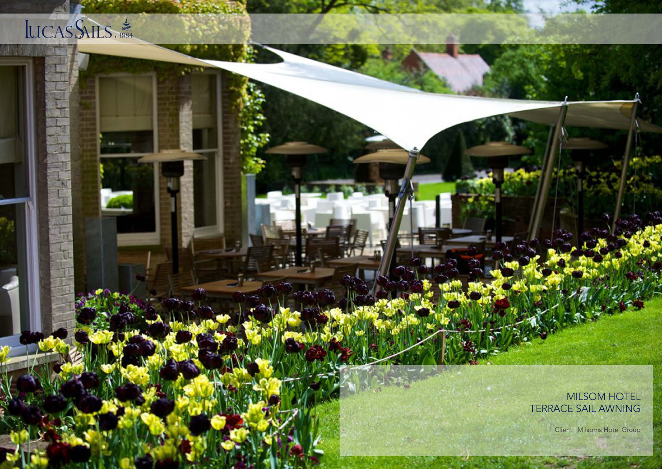## LICAS SAILS.

MILSOM HOTEL TERRACE SAIL AWNING

Client: Milsoms Hotel Group